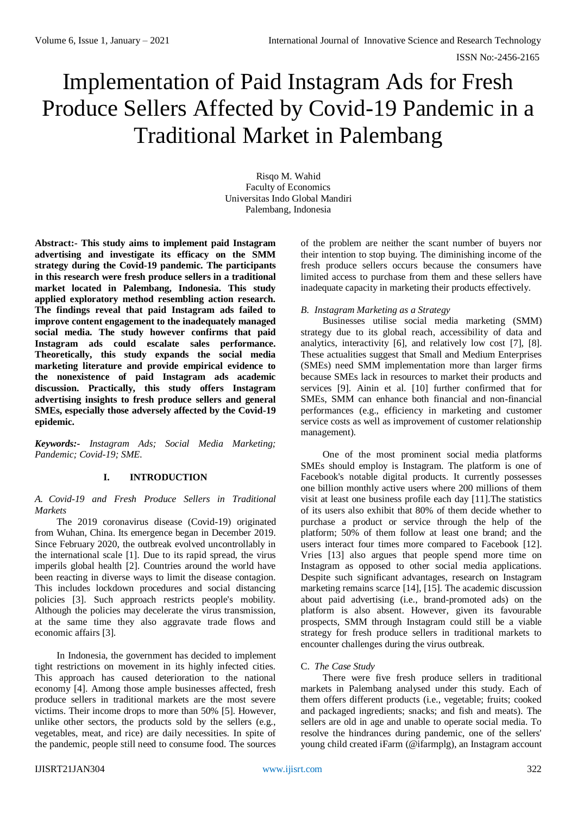# Implementation of Paid Instagram Ads for Fresh Produce Sellers Affected by Covid-19 Pandemic in a Traditional Market in Palembang

Risqo M. Wahid Faculty of Economics Universitas Indo Global Mandiri Palembang, Indonesia

**Abstract:- This study aims to implement paid Instagram advertising and investigate its efficacy on the SMM strategy during the Covid-19 pandemic. The participants in this research were fresh produce sellers in a traditional market located in Palembang, Indonesia. This study applied exploratory method resembling action research. The findings reveal that paid Instagram ads failed to improve content engagement to the inadequately managed social media. The study however confirms that paid Instagram ads could escalate sales performance. Theoretically, this study expands the social media marketing literature and provide empirical evidence to the nonexistence of paid Instagram ads academic discussion. Practically, this study offers Instagram advertising insights to fresh produce sellers and general SMEs, especially those adversely affected by the Covid-19 epidemic.**

*Keywords:- Instagram Ads; Social Media Marketing; Pandemic; Covid-19; SME.*

## **I. INTRODUCTION**

*A. Covid-19 and Fresh Produce Sellers in Traditional Markets*

The 2019 coronavirus disease (Covid-19) originated from Wuhan, China. Its emergence began in December 2019. Since February 2020, the outbreak evolved uncontrollably in the international scale [1]. Due to its rapid spread, the virus imperils global health [2]. Countries around the world have been reacting in diverse ways to limit the disease contagion. This includes lockdown procedures and social distancing policies [3]. Such approach restricts people's mobility. Although the policies may decelerate the virus transmission, at the same time they also aggravate trade flows and economic affairs [3].

In Indonesia, the government has decided to implement tight restrictions on movement in its highly infected cities. This approach has caused deterioration to the national economy [4]. Among those ample businesses affected, fresh produce sellers in traditional markets are the most severe victims. Their income drops to more than 50% [5]. However, unlike other sectors, the products sold by the sellers (e.g., vegetables, meat, and rice) are daily necessities. In spite of the pandemic, people still need to consume food. The sources

of the problem are neither the scant number of buyers nor their intention to stop buying. The diminishing income of the fresh produce sellers occurs because the consumers have limited access to purchase from them and these sellers have inadequate capacity in marketing their products effectively.

## *B. Instagram Marketing as a Strategy*

Businesses utilise social media marketing (SMM) strategy due to its global reach, accessibility of data and analytics, interactivity [6], and relatively low cost [7], [8]. These actualities suggest that Small and Medium Enterprises (SMEs) need SMM implementation more than larger firms because SMEs lack in resources to market their products and services [9]. Ainin et al. [10] further confirmed that for SMEs, SMM can enhance both financial and non-financial performances (e.g., efficiency in marketing and customer service costs as well as improvement of customer relationship management).

One of the most prominent social media platforms SMEs should employ is Instagram. The platform is one of Facebook's notable digital products. It currently possesses one billion monthly active users where 200 millions of them visit at least one business profile each day [11].The statistics of its users also exhibit that 80% of them decide whether to purchase a product or service through the help of the platform; 50% of them follow at least one brand; and the users interact four times more compared to Facebook [12]. Vries [13] also argues that people spend more time on Instagram as opposed to other social media applications. Despite such significant advantages, research on Instagram marketing remains scarce [14], [15]. The academic discussion about paid advertising (i.e., brand-promoted ads) on the platform is also absent. However, given its favourable prospects, SMM through Instagram could still be a viable strategy for fresh produce sellers in traditional markets to encounter challenges during the virus outbreak.

#### C. *The Case Study*

There were five fresh produce sellers in traditional markets in Palembang analysed under this study. Each of them offers different products (i.e., vegetable; fruits; cooked and packaged ingredients; snacks; and fish and meats). The sellers are old in age and unable to operate social media. To resolve the hindrances during pandemic, one of the sellers' young child created iFarm (@ifarmplg), an Instagram account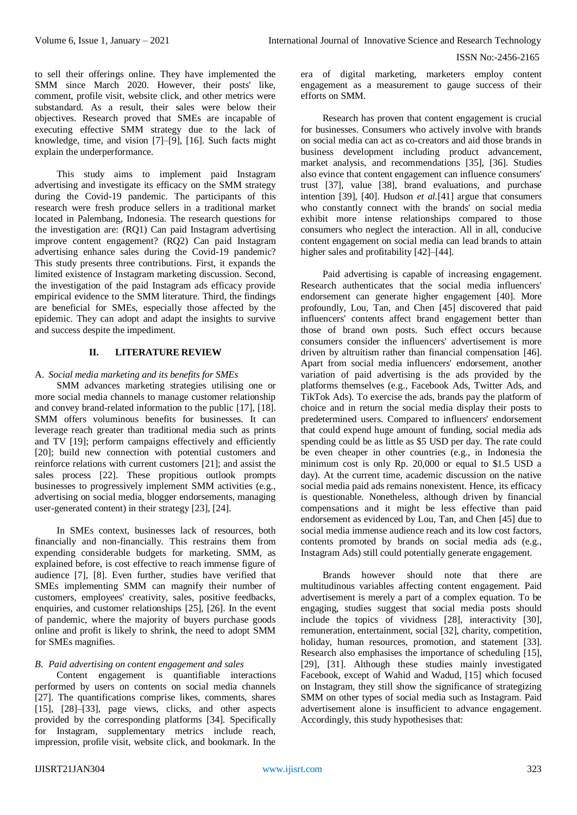to sell their offerings online. They have implemented the SMM since March 2020. However, their posts' like, comment, profile visit, website click, and other metrics were substandard. As a result, their sales were below their objectives. Research proved that SMEs are incapable of executing effective SMM strategy due to the lack of knowledge, time, and vision [7]–[9], [16]. Such facts might explain the underperformance.

This study aims to implement paid Instagram advertising and investigate its efficacy on the SMM strategy during the Covid-19 pandemic. The participants of this research were fresh produce sellers in a traditional market located in Palembang, Indonesia. The research questions for the investigation are: (RQ1) Can paid Instagram advertising improve content engagement? (RQ2) Can paid Instagram advertising enhance sales during the Covid-19 pandemic? This study presents three contributions. First, it expands the limited existence of Instagram marketing discussion. Second, the investigation of the paid Instagram ads efficacy provide empirical evidence to the SMM literature. Third, the findings are beneficial for SMEs, especially those affected by the epidemic. They can adopt and adapt the insights to survive and success despite the impediment.

## **II. LITERATURE REVIEW**

## A. *Social media marketing and its benefits for SMEs*

SMM advances marketing strategies utilising one or more social media channels to manage customer relationship and convey brand-related information to the public [17], [18]. SMM offers voluminous benefits for businesses. It can leverage reach greater than traditional media such as prints and TV [19]; perform campaigns effectively and efficiently [20]; build new connection with potential customers and reinforce relations with current customers [21]; and assist the sales process [22]. These propitious outlook prompts businesses to progressively implement SMM activities (e.g., advertising on social media, blogger endorsements, managing user-generated content) in their strategy [23], [24].

In SMEs context, businesses lack of resources, both financially and non-financially. This restrains them from expending considerable budgets for marketing. SMM, as explained before, is cost effective to reach immense figure of audience [7], [8]. Even further, studies have verified that SMEs implementing SMM can magnify their number of customers, employees' creativity, sales, positive feedbacks, enquiries, and customer relationships [25], [26]. In the event of pandemic, where the majority of buyers purchase goods online and profit is likely to shrink, the need to adopt SMM for SMEs magnifies.

## *B. Paid advertising on content engagement and sales*

Content engagement is quantifiable interactions performed by users on contents on social media channels [27]. The quantifications comprise likes, comments, shares [15], [28]–[33], page views, clicks, and other aspects provided by the corresponding platforms [34]. Specifically for Instagram, supplementary metrics include reach, impression, profile visit, website click, and bookmark. In the

era of digital marketing, marketers employ content engagement as a measurement to gauge success of their efforts on SMM.

Research has proven that content engagement is crucial for businesses. Consumers who actively involve with brands on social media can act as co-creators and aid those brands in business development including product advancement, market analysis, and recommendations [35], [36]. Studies also evince that content engagement can influence consumers' trust [37], value [38], brand evaluations, and purchase intention [39], [40]. Hudson *et al.*[41] argue that consumers who constantly connect with the brands' on social media exhibit more intense relationships compared to those consumers who neglect the interaction. All in all, conducive content engagement on social media can lead brands to attain higher sales and profitability [42]–[44].

Paid advertising is capable of increasing engagement. Research authenticates that the social media influencers' endorsement can generate higher engagement [40]. More profoundly, Lou, Tan, and Chen [45] discovered that paid influencers' contents affect brand engagement better than those of brand own posts. Such effect occurs because consumers consider the influencers' advertisement is more driven by altruitism rather than financial compensation [46]. Apart from social media influencers' endorsement, another variation of paid advertising is the ads provided by the platforms themselves (e.g., Facebook Ads, Twitter Ads, and TikTok Ads). To exercise the ads, brands pay the platform of choice and in return the social media display their posts to predetermined users. Compared to influencers' endorsement that could expend huge amount of funding, social media ads spending could be as little as \$5 USD per day. The rate could be even cheaper in other countries (e.g., in Indonesia the minimum cost is only Rp. 20,000 or equal to \$1.5 USD a day). At the current time, academic discussion on the native social media paid ads remains nonexistent. Hence, its efficacy is questionable. Nonetheless, although driven by financial compensations and it might be less effective than paid endorsement as evidenced by Lou, Tan, and Chen [45] due to social media immense audience reach and its low cost factors, contents promoted by brands on social media ads (e.g., Instagram Ads) still could potentially generate engagement.

Brands however should note that there are multitudinous variables affecting content engagement. Paid advertisement is merely a part of a complex equation. To be engaging, studies suggest that social media posts should include the topics of vividness [28], interactivity [30], remuneration, entertainment, social [32], charity, competition, holiday, human resources, promotion, and statement [33]. Research also emphasises the importance of scheduling [15], [29], [31]. Although these studies mainly investigated Facebook, except of Wahid and Wadud, [15] which focused on Instagram, they still show the significance of strategizing SMM on other types of social media such as Instagram. Paid advertisement alone is insufficient to advance engagement. Accordingly, this study hypothesises that: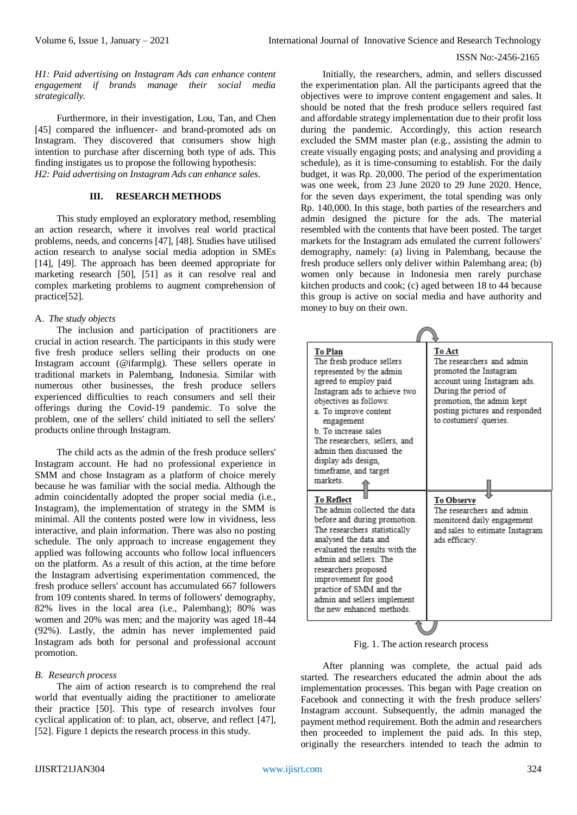*H1: Paid advertising on Instagram Ads can enhance content engagement if brands manage their social media strategically.*

Furthermore, in their investigation, Lou, Tan, and Chen [45] compared the influencer- and brand-promoted ads on Instagram. They discovered that consumers show high intention to purchase after discerning both type of ads. This finding instigates us to propose the following hypothesis: *H2: Paid advertising on Instagram Ads can enhance sales.*

# **III. RESEARCH METHODS**

This study employed an exploratory method, resembling an action research, where it involves real world practical problems, needs, and concerns [47], [48]. Studies have utilised action research to analyse social media adoption in SMEs [14], [49]. The approach has been deemed appropriate for marketing research [50], [51] as it can resolve real and complex marketing problems to augment comprehension of practice[52].

## A. *The study objects*

The inclusion and participation of practitioners are crucial in action research. The participants in this study were five fresh produce sellers selling their products on one Instagram account (@ifarmplg). These sellers operate in traditional markets in Palembang, Indonesia. Similar with numerous other businesses, the fresh produce sellers experienced difficulties to reach consumers and sell their offerings during the Covid-19 pandemic. To solve the problem, one of the sellers' child initiated to sell the sellers' products online through Instagram.

The child acts as the admin of the fresh produce sellers' Instagram account. He had no professional experience in SMM and chose Instagram as a platform of choice merely because he was familiar with the social media. Although the admin coincidentally adopted the proper social media (i.e., Instagram), the implementation of strategy in the SMM is minimal. All the contents posted were low in vividness, less interactive, and plain information. There was also no posting schedule. The only approach to increase engagement they applied was following accounts who follow local influencers on the platform. As a result of this action, at the time before the Instagram advertising experimentation commenced, the fresh produce sellers' account has accumulated 667 followers from 109 contents shared. In terms of followers' demography, 82% lives in the local area (i.e., Palembang); 80% was women and 20% was men; and the majority was aged 18-44 (92%). Lastly, the admin has never implemented paid Instagram ads both for personal and professional account promotion.

#### *B. Research process*

The aim of action research is to comprehend the real world that eventually aiding the practitioner to ameliorate their practice [50]. This type of research involves four cyclical application of: to plan, act, observe, and reflect [47], [52]. Figure 1 depicts the research process in this study.

Initially, the researchers, admin, and sellers discussed the experimentation plan. All the participants agreed that the objectives were to improve content engagement and sales. It should be noted that the fresh produce sellers required fast and affordable strategy implementation due to their profit loss during the pandemic. Accordingly, this action research excluded the SMM master plan (e.g., assisting the admin to create visually engaging posts; and analysing and providing a schedule), as it is time-consuming to establish. For the daily budget, it was Rp. 20,000. The period of the experimentation was one week, from 23 June 2020 to 29 June 2020. Hence, for the seven days experiment, the total spending was only Rp. 140,000. In this stage, both parties of the researchers and admin designed the picture for the ads. The material resembled with the contents that have been posted. The target markets for the Instagram ads emulated the current followers' demography, namely: (a) living in Palembang, because the fresh produce sellers only deliver within Palembang area; (b) women only because in Indonesia men rarely purchase kitchen products and cook; (c) aged between 18 to 44 because this group is active on social media and have authority and money to buy on their own.

| <b>To Plan</b><br>The fresh produce sellers<br>represented by the admin<br>agreed to employ paid<br>Instagram ads to achieve two<br>objectives as follows:<br>a. To improve content<br>engagement<br><b>b</b> To increase sales<br>The researchers, sellers, and<br>admin then discussed the<br>display ads design.<br>timeframe, and target<br>markets<br><b>To Reflect</b><br>The admin collected the data<br>before and during promotion.<br>The researchers statistically<br>analysed the data and<br>evaluated the results with the<br>admin and sellers. The<br>researchers proposed<br>improvement for good<br>practice of SMM and the<br>admin and sellers implement<br>the new enhanced methods | <b>To Act</b><br>The researchers and admin-<br>promoted the Instagram<br>account using Instagram ads.<br>During the period of<br>promotion, the admin kept<br>posting pictures and responded<br>to costumers' queries.<br><b>To Observe</b><br>The researchers and admin<br>monitored daily engagement<br>and sales to estimate Instagram<br>ads efficacy. |  |  |  |  |
|----------------------------------------------------------------------------------------------------------------------------------------------------------------------------------------------------------------------------------------------------------------------------------------------------------------------------------------------------------------------------------------------------------------------------------------------------------------------------------------------------------------------------------------------------------------------------------------------------------------------------------------------------------------------------------------------------------|------------------------------------------------------------------------------------------------------------------------------------------------------------------------------------------------------------------------------------------------------------------------------------------------------------------------------------------------------------|--|--|--|--|
|                                                                                                                                                                                                                                                                                                                                                                                                                                                                                                                                                                                                                                                                                                          |                                                                                                                                                                                                                                                                                                                                                            |  |  |  |  |

Fig. 1. The action research process

After planning was complete, the actual paid ads started. The researchers educated the admin about the ads implementation processes. This began with Page creation on Facebook and connecting it with the fresh produce sellers' Instagram account. Subsequently, the admin managed the payment method requirement. Both the admin and researchers then proceeded to implement the paid ads. In this step, originally the researchers intended to teach the admin to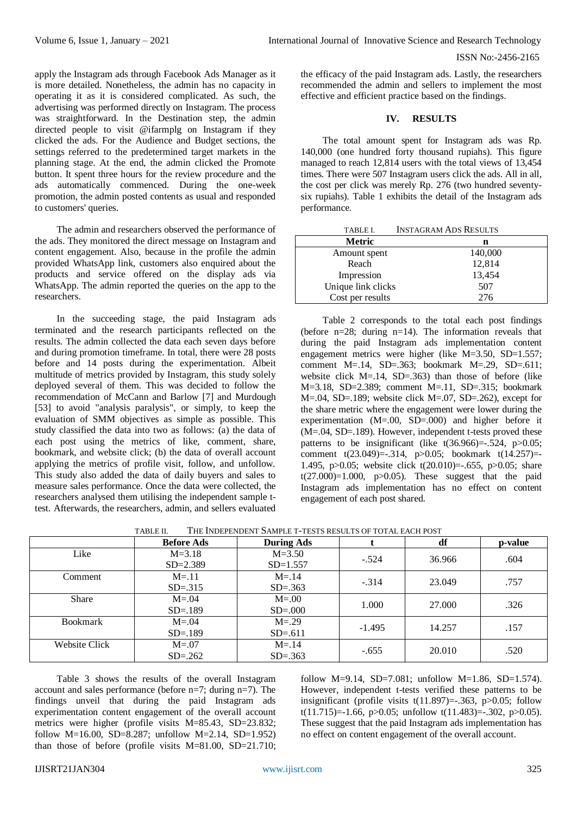apply the Instagram ads through Facebook Ads Manager as it is more detailed. Nonetheless, the admin has no capacity in operating it as it is considered complicated. As such, the advertising was performed directly on Instagram. The process was straightforward. In the Destination step, the admin directed people to visit @ifarmplg on Instagram if they clicked the ads. For the Audience and Budget sections, the settings referred to the predetermined target markets in the planning stage. At the end, the admin clicked the Promote button. It spent three hours for the review procedure and the ads automatically commenced. During the one-week promotion, the admin posted contents as usual and responded to customers' queries.

The admin and researchers observed the performance of the ads. They monitored the direct message on Instagram and content engagement. Also, because in the profile the admin provided WhatsApp link, customers also enquired about the products and service offered on the display ads via WhatsApp. The admin reported the queries on the app to the researchers.

In the succeeding stage, the paid Instagram ads terminated and the research participants reflected on the results. The admin collected the data each seven days before and during promotion timeframe. In total, there were 28 posts before and 14 posts during the experimentation. Albeit multitude of metrics provided by Instagram, this study solely deployed several of them. This was decided to follow the recommendation of McCann and Barlow [7] and Murdough [53] to avoid "analysis paralysis", or simply, to keep the evaluation of SMM objectives as simple as possible. This study classified the data into two as follows: (a) the data of each post using the metrics of like, comment, share, bookmark, and website click; (b) the data of overall account applying the metrics of profile visit, follow, and unfollow. This study also added the data of daily buyers and sales to measure sales performance. Once the data were collected, the researchers analysed them utilising the independent sample ttest. Afterwards, the researchers, admin, and sellers evaluated

the efficacy of the paid Instagram ads. Lastly, the researchers recommended the admin and sellers to implement the most effective and efficient practice based on the findings.

### **IV. RESULTS**

The total amount spent for Instagram ads was Rp. 140,000 (one hundred forty thousand rupiahs). This figure managed to reach 12,814 users with the total views of 13,454 times. There were 507 Instagram users click the ads. All in all, the cost per click was merely Rp. 276 (two hundred seventysix rupiahs). Table 1 exhibits the detail of the Instagram ads performance.

| TABLE I.           | <b>INSTAGRAM ADS RESULTS</b> |
|--------------------|------------------------------|
| Metric             | n                            |
| Amount spent       | 140,000                      |
| Reach              | 12,814                       |
| Impression         | 13,454                       |
| Unique link clicks | 507                          |
| Cost per results   | 276                          |

Table 2 corresponds to the total each post findings (before n=28; during n=14). The information reveals that during the paid Instagram ads implementation content engagement metrics were higher (like M=3.50, SD=1.557; comment M=.14, SD=.363; bookmark M=.29, SD=.611; website click M=.14, SD=.363) than those of before (like M=3.18, SD=2.389; comment M=.11, SD=.315; bookmark  $M=.04$ , SD=.189; website click M=.07, SD=.262), except for the share metric where the engagement were lower during the experimentation (M=.00, SD=.000) and higher before it (M=.04, SD=.189). However, independent t-tests proved these patterns to be insignificant (like  $t(36.966) = .524$ ,  $p > 0.05$ ; comment t(23.049)=-.314, p>0.05; bookmark t(14.257)=- 1.495, p>0.05; website click t(20.010)=-.655, p>0.05; share  $t(27.000)=1.000$ ,  $p>0.05$ ). These suggest that the paid Instagram ads implementation has no effect on content engagement of each post shared.

|                 | <b>Before Ads</b> | <b>During Ads</b> |          | df     | p-value |
|-----------------|-------------------|-------------------|----------|--------|---------|
| Like            | $M = 3.18$        | $M = 3.50$        | $-.524$  |        | .604    |
|                 | $SD = 2.389$      | $SD=1.557$        |          | 36.966 |         |
| Comment         | $M = .11$         | $M = .14$         | $-.314$  | 23.049 | .757    |
|                 | $SD = .315$       | $SD = .363$       |          |        |         |
| <b>Share</b>    | $M = .04$         | $M = .00$         | 1.000    | 27.000 | .326    |
|                 | $SD = .189$       | $SD = .000$       |          |        |         |
| <b>Bookmark</b> | $M = .04$         | $M = .29$         |          |        |         |
|                 | $SD = .189$       | $SD=.611$         | $-1.495$ | 14.257 | .157    |
| Website Click   | $M = .07$         | $M = 14$          |          | 20.010 | .520    |
|                 | $SD = .262$       | $SD = .363$       | $-.655$  |        |         |

| TABLE II. | THE INDEPENDENT SAMPLE T-TESTS RESULTS OF TOTAL EACH POST |
|-----------|-----------------------------------------------------------|
|-----------|-----------------------------------------------------------|

Table 3 shows the results of the overall Instagram account and sales performance (before n=7; during n=7). The findings unveil that during the paid Instagram ads experimentation content engagement of the overall account metrics were higher (profile visits M=85.43, SD=23.832; follow  $M=16.00$ , SD=8.287; unfollow  $M=2.14$ , SD=1.952) than those of before (profile visits M=81.00, SD=21.710;

follow M=9.14, SD=7.081; unfollow M=1.86, SD=1.574). However, independent t-tests verified these patterns to be insignificant (profile visits  $t(11.897) = -0.363$ , p $>0.05$ ; follow t(11.715)=-1.66, p>0.05; unfollow t(11.483)=-.302, p>0.05). These suggest that the paid Instagram ads implementation has no effect on content engagement of the overall account.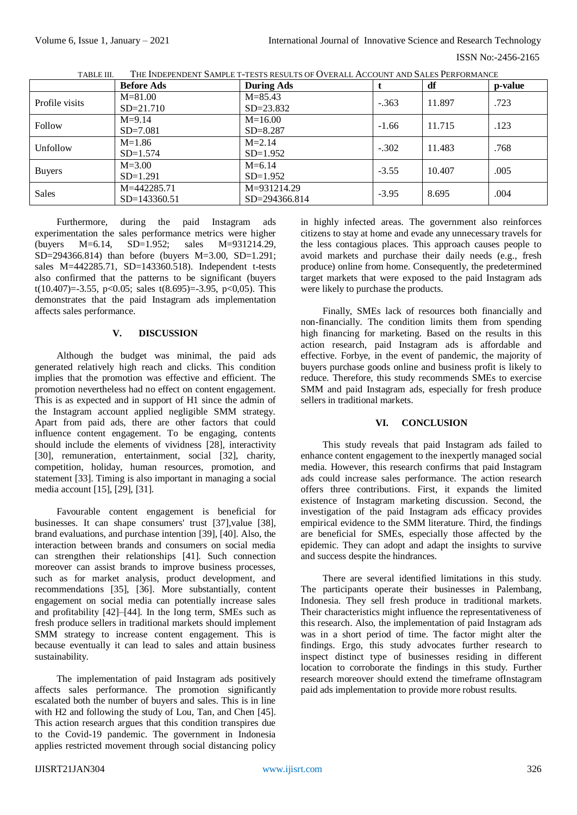|                | <b>Before Ads</b> | <b>During Ads</b> |         | df     | p-value |
|----------------|-------------------|-------------------|---------|--------|---------|
| Profile visits | $M = 81.00$       | $M = 85.43$       | $-.363$ | 11.897 | .723    |
|                | $SD = 21.710$     | $SD = 23.832$     |         |        |         |
| Follow         | $M = 9.14$        | $M = 16.00$       | $-1.66$ | 11.715 | .123    |
|                | $SD = 7.081$      | $SD = 8.287$      |         |        |         |
| Unfollow       | $M=1.86$          | $M = 2.14$        | $-.302$ | 11.483 | .768    |
|                | $SD=1.574$        | $SD=1.952$        |         |        |         |
| <b>Buyers</b>  | $M = 3.00$        | $M=6.14$          | $-3.55$ | 10.407 | .005    |
|                | $SD=1.291$        | $SD=1.952$        |         |        |         |
| <b>Sales</b>   | M=442285.71       | M=931214.29       | $-3.95$ | 8.695  | .004    |
|                | SD=143360.51      | $SD = 294366.814$ |         |        |         |

TABLE III. THE INDEPENDENT SAMPLE T-TESTS RESULTS OF OVERALL ACCOUNT AND SALES PERFORMANCE

Furthermore, during the paid Instagram ads experimentation the sales performance metrics were higher (buyers M=6.14, SD=1.952; sales M=931214.29,  $SD = 294366.814$  than before (buyers  $M = 3.00$ ,  $SD = 1.291$ ; sales M=442285.71, SD=143360.518). Independent t-tests also confirmed that the patterns to be significant (buyers t(10.407)=-3.55, p<0.05; sales t(8.695)=-3.95, p<0.05). This demonstrates that the paid Instagram ads implementation affects sales performance.

## **V. DISCUSSION**

Although the budget was minimal, the paid ads generated relatively high reach and clicks. This condition implies that the promotion was effective and efficient. The promotion nevertheless had no effect on content engagement. This is as expected and in support of H1 since the admin of the Instagram account applied negligible SMM strategy. Apart from paid ads, there are other factors that could influence content engagement. To be engaging, contents should include the elements of vividness [28], interactivity [30], remuneration, entertainment, social [32], charity, competition, holiday, human resources, promotion, and statement [33]. Timing is also important in managing a social media account [15], [29], [31].

Favourable content engagement is beneficial for businesses. It can shape consumers' trust [37],value [38], brand evaluations, and purchase intention [39], [40]. Also, the interaction between brands and consumers on social media can strengthen their relationships [41]. Such connection moreover can assist brands to improve business processes, such as for market analysis, product development, and recommendations [35], [36]. More substantially, content engagement on social media can potentially increase sales and profitability [42]–[44]. In the long term, SMEs such as fresh produce sellers in traditional markets should implement SMM strategy to increase content engagement. This is because eventually it can lead to sales and attain business sustainability.

The implementation of paid Instagram ads positively affects sales performance. The promotion significantly escalated both the number of buyers and sales. This is in line with H2 and following the study of Lou, Tan, and Chen [45]. This action research argues that this condition transpires due to the Covid-19 pandemic. The government in Indonesia applies restricted movement through social distancing policy

in highly infected areas. The government also reinforces citizens to stay at home and evade any unnecessary travels for the less contagious places. This approach causes people to avoid markets and purchase their daily needs (e.g., fresh produce) online from home. Consequently, the predetermined target markets that were exposed to the paid Instagram ads were likely to purchase the products.

Finally, SMEs lack of resources both financially and non-financially. The condition limits them from spending high financing for marketing. Based on the results in this action research, paid Instagram ads is affordable and effective. Forbye, in the event of pandemic, the majority of buyers purchase goods online and business profit is likely to reduce. Therefore, this study recommends SMEs to exercise SMM and paid Instagram ads, especially for fresh produce sellers in traditional markets.

## **VI. CONCLUSION**

This study reveals that paid Instagram ads failed to enhance content engagement to the inexpertly managed social media. However, this research confirms that paid Instagram ads could increase sales performance. The action research offers three contributions. First, it expands the limited existence of Instagram marketing discussion. Second, the investigation of the paid Instagram ads efficacy provides empirical evidence to the SMM literature. Third, the findings are beneficial for SMEs, especially those affected by the epidemic. They can adopt and adapt the insights to survive and success despite the hindrances.

There are several identified limitations in this study. The participants operate their businesses in Palembang, Indonesia. They sell fresh produce in traditional markets. Their characteristics might influence the representativeness of this research. Also, the implementation of paid Instagram ads was in a short period of time. The factor might alter the findings. Ergo, this study advocates further research to inspect distinct type of businesses residing in different location to corroborate the findings in this study. Further research moreover should extend the timeframe ofInstagram paid ads implementation to provide more robust results.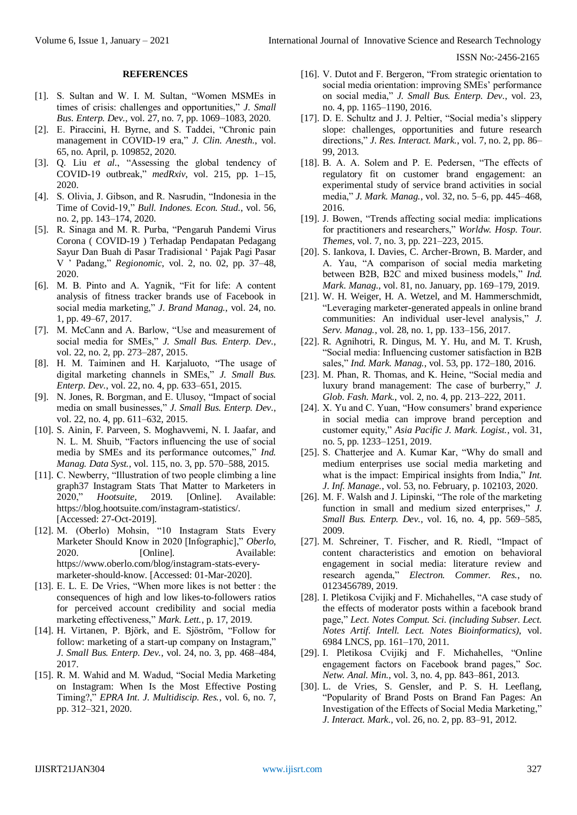## **REFERENCES**

- [1]. S. Sultan and W. I. M. Sultan, "Women MSMEs in times of crisis: challenges and opportunities," *J. Small Bus. Enterp. Dev.*, vol. 27, no. 7, pp. 1069–1083, 2020.
- [2]. E. Piraccini, H. Byrne, and S. Taddei, "Chronic pain management in COVID-19 era," *J. Clin. Anesth.*, vol. 65, no. April, p. 109852, 2020.
- [3]. Q. Liu *et al.*, "Assessing the global tendency of COVID-19 outbreak," *medRxiv*, vol. 215, pp. 1–15, 2020.
- [4]. S. Olivia, J. Gibson, and R. Nasrudin, "Indonesia in the Time of Covid-19," *Bull. Indones. Econ. Stud.*, vol. 56, no. 2, pp. 143–174, 2020.
- [5]. R. Sinaga and M. R. Purba, "Pengaruh Pandemi Virus Corona ( COVID-19 ) Terhadap Pendapatan Pedagang Sayur Dan Buah di Pasar Tradisional ' Pajak Pagi Pasar V ' Padang," *Regionomic*, vol. 2, no. 02, pp. 37–48, 2020.
- [6]. M. B. Pinto and A. Yagnik, "Fit for life: A content analysis of fitness tracker brands use of Facebook in social media marketing," *J. Brand Manag.*, vol. 24, no. 1, pp. 49–67, 2017.
- [7]. M. McCann and A. Barlow, "Use and measurement of social media for SMEs," *J. Small Bus. Enterp. Dev.*, vol. 22, no. 2, pp. 273–287, 2015.
- [8]. H. M. Taiminen and H. Karjaluoto, "The usage of digital marketing channels in SMEs," *J. Small Bus. Enterp. Dev.*, vol. 22, no. 4, pp. 633–651, 2015.
- [9]. N. Jones, R. Borgman, and E. Ulusoy, "Impact of social media on small businesses," *J. Small Bus. Enterp. Dev.*, vol. 22, no. 4, pp. 611–632, 2015.
- [10]. S. Ainin, F. Parveen, S. Moghavvemi, N. I. Jaafar, and N. L. M. Shuib, "Factors influencing the use of social media by SMEs and its performance outcomes," *Ind. Manag. Data Syst.*, vol. 115, no. 3, pp. 570–588, 2015.
- [11]. C. Newberry, "Illustration of two people climbing a line graph37 Instagram Stats That Matter to Marketers in 2020," *Hootsuite*, 2019. [Online]. Available: https://blog.hootsuite.com/instagram-statistics/. [Accessed: 27-Oct-2019].
- [12]. M. (Oberlo) Mohsin, "10 Instagram Stats Every Marketer Should Know in 2020 [Infographic]," *Oberlo*, 2020. [Online]. Available: https://www.oberlo.com/blog/instagram-stats-everymarketer-should-know. [Accessed: 01-Mar-2020].
- [13]. E. L. E. De Vries, "When more likes is not better : the consequences of high and low likes-to-followers ratios for perceived account credibility and social media marketing effectiveness," *Mark. Lett.*, p. 17, 2019.
- [14]. H. Virtanen, P. Björk, and E. Sjöström, "Follow for follow: marketing of a start-up company on Instagram," *J. Small Bus. Enterp. Dev.*, vol. 24, no. 3, pp. 468–484, 2017.
- [15]. R. M. Wahid and M. Wadud, "Social Media Marketing on Instagram: When Is the Most Effective Posting Timing?," *EPRA Int. J. Multidiscip. Res.*, vol. 6, no. 7, pp. 312–321, 2020.
- [16]. V. Dutot and F. Bergeron, "From strategic orientation to social media orientation: improving SMEs' performance on social media," *J. Small Bus. Enterp. Dev.*, vol. 23, no. 4, pp. 1165–1190, 2016.
- [17]. D. E. Schultz and J. J. Peltier, "Social media's slippery slope: challenges, opportunities and future research directions," *J. Res. Interact. Mark.*, vol. 7, no. 2, pp. 86– 99, 2013.
- [18]. B. A. A. Solem and P. E. Pedersen, "The effects of regulatory fit on customer brand engagement: an experimental study of service brand activities in social media," *J. Mark. Manag.*, vol. 32, no. 5–6, pp. 445–468, 2016.
- [19]. J. Bowen, "Trends affecting social media: implications for practitioners and researchers," *Worldw. Hosp. Tour. Themes*, vol. 7, no. 3, pp. 221–223, 2015.
- [20]. S. Iankova, I. Davies, C. Archer-Brown, B. Marder, and A. Yau, "A comparison of social media marketing between B2B, B2C and mixed business models," *Ind. Mark. Manag.*, vol. 81, no. January, pp. 169–179, 2019.
- [21]. W. H. Weiger, H. A. Wetzel, and M. Hammerschmidt, "Leveraging marketer-generated appeals in online brand communities: An individual user-level analysis," *J. Serv. Manag.*, vol. 28, no. 1, pp. 133–156, 2017.
- [22]. R. Agnihotri, R. Dingus, M. Y. Hu, and M. T. Krush, "Social media: Influencing customer satisfaction in B2B sales," *Ind. Mark. Manag.*, vol. 53, pp. 172–180, 2016.
- [23]. M. Phan, R. Thomas, and K. Heine, "Social media and luxury brand management: The case of burberry," *J. Glob. Fash. Mark.*, vol. 2, no. 4, pp. 213–222, 2011.
- [24]. X. Yu and C. Yuan, "How consumers' brand experience in social media can improve brand perception and customer equity," *Asia Pacific J. Mark. Logist.*, vol. 31, no. 5, pp. 1233–1251, 2019.
- [25]. S. Chatterjee and A. Kumar Kar, "Why do small and medium enterprises use social media marketing and what is the impact: Empirical insights from India," *Int. J. Inf. Manage.*, vol. 53, no. February, p. 102103, 2020.
- [26]. M. F. Walsh and J. Lipinski, "The role of the marketing function in small and medium sized enterprises," *J. Small Bus. Enterp. Dev.*, vol. 16, no. 4, pp. 569–585, 2009.
- [27]. M. Schreiner, T. Fischer, and R. Riedl, "Impact of content characteristics and emotion on behavioral engagement in social media: literature review and research agenda," *Electron. Commer. Res.*, no. 0123456789, 2019.
- [28]. I. Pletikosa Cvijikj and F. Michahelles, "A case study of the effects of moderator posts within a facebook brand page," *Lect. Notes Comput. Sci. (including Subser. Lect. Notes Artif. Intell. Lect. Notes Bioinformatics)*, vol. 6984 LNCS, pp. 161–170, 2011.
- [29]. I. Pletikosa Cvijikj and F. Michahelles, "Online engagement factors on Facebook brand pages," *Soc. Netw. Anal. Min.*, vol. 3, no. 4, pp. 843–861, 2013.
- [30]. L. de Vries, S. Gensler, and P. S. H. Leeflang, "Popularity of Brand Posts on Brand Fan Pages: An Investigation of the Effects of Social Media Marketing," *J. Interact. Mark.*, vol. 26, no. 2, pp. 83–91, 2012.